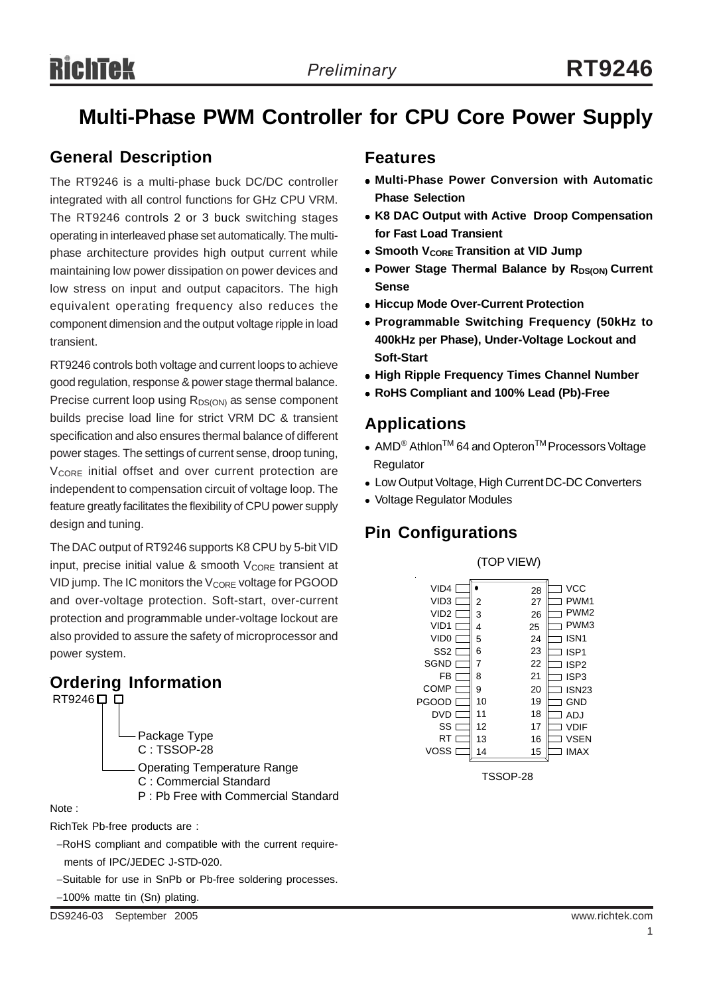## **Multi-Phase PWM Controller for CPU Core Power Supply**

### **General Description**

The RT9246 is a multi-phase buck DC/DC controller integrated with all control functions for GHz CPU VRM. The RT9246 controls 2 or 3 buck switching stages operating in interleaved phase set automatically. The multiphase architecture provides high output current while maintaining low power dissipation on power devices and low stress on input and output capacitors. The high equivalent operating frequency also reduces the component dimension and the output voltage ripple in load transient.

RT9246 controls both voltage and current loops to achieve good regulation, response & power stage thermal balance. Precise current loop using  $R_{DS(ON)}$  as sense component builds precise load line for strict VRM DC & transient specification and also ensures thermal balance of different power stages. The settings of current sense, droop tuning, V<sub>CORE</sub> initial offset and over current protection are independent to compensation circuit of voltage loop. The feature greatly facilitates the flexibility of CPU power supply design and tuning.

The DAC output of RT9246 supports K8 CPU by 5-bit VID input, precise initial value & smooth  $V_{\text{CORE}}$  transient at VID jump. The IC monitors the V<sub>CORE</sub> voltage for PGOOD and over-voltage protection. Soft-start, over-current protection and programmable under-voltage lockout are also provided to assure the safety of microprocessor and power system.

## **Ordering Information**



RichTek Pb-free products are :

−RoHS compliant and compatible with the current require ments of IPC/JEDEC J-STD-020.

−Suitable for use in SnPb or Pb-free soldering processes.

−100% matte tin (Sn) plating.

### **Features**

- <sup>z</sup> **Multi-Phase Power Conversion with Automatic Phase Selection**
- **K8 DAC Output with Active Droop Compensation for Fast Load Transient**
- **Smooth VCORE Transition at VID Jump**
- **Power Stage Thermal Balance by RDS(ON) Current Sense**
- **Hiccup Mode Over-Current Protection**
- <sup>z</sup> **Programmable Switching Frequency (50kHz to 400kHz per Phase), Under-Voltage Lockout and Soft-Start**
- **High Ripple Frequency Times Channel Number**
- <sup>z</sup> **RoHS Compliant and 100% Lead (Pb)-Free**

## **Applications**

- AMD<sup>®</sup> Athlon<sup>TM</sup> 64 and Opteron<sup>TM</sup> Processors Voltage Regulator
- Low Output Voltage, High Current DC-DC Converters
- Voltage Regulator Modules

## **Pin Configurations**



TSSOP-28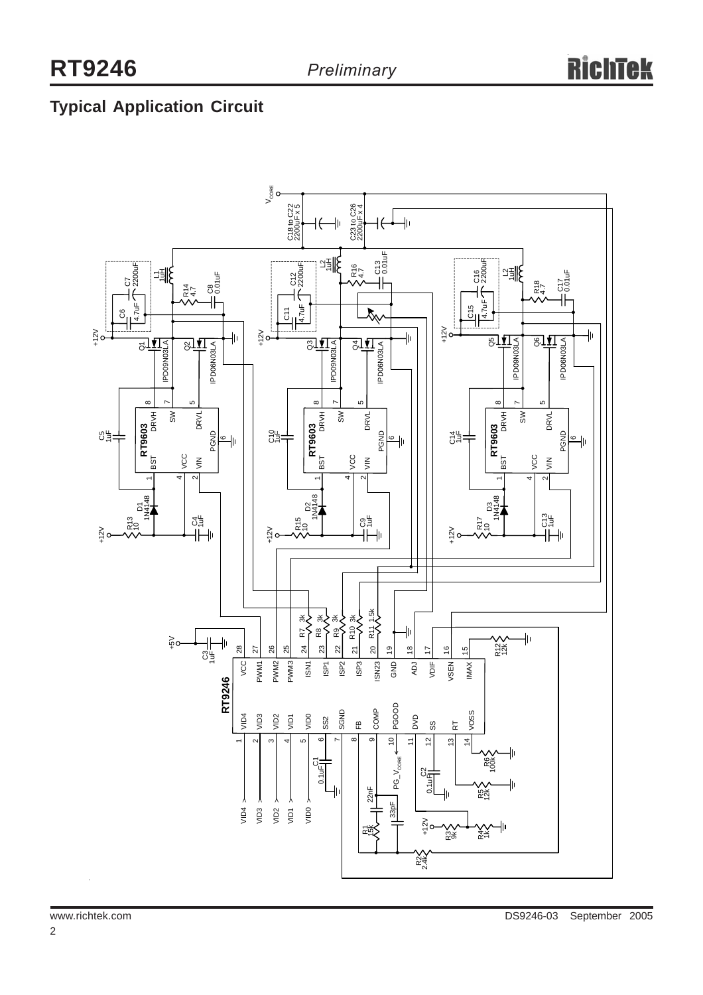## **Typical Application Circuit**

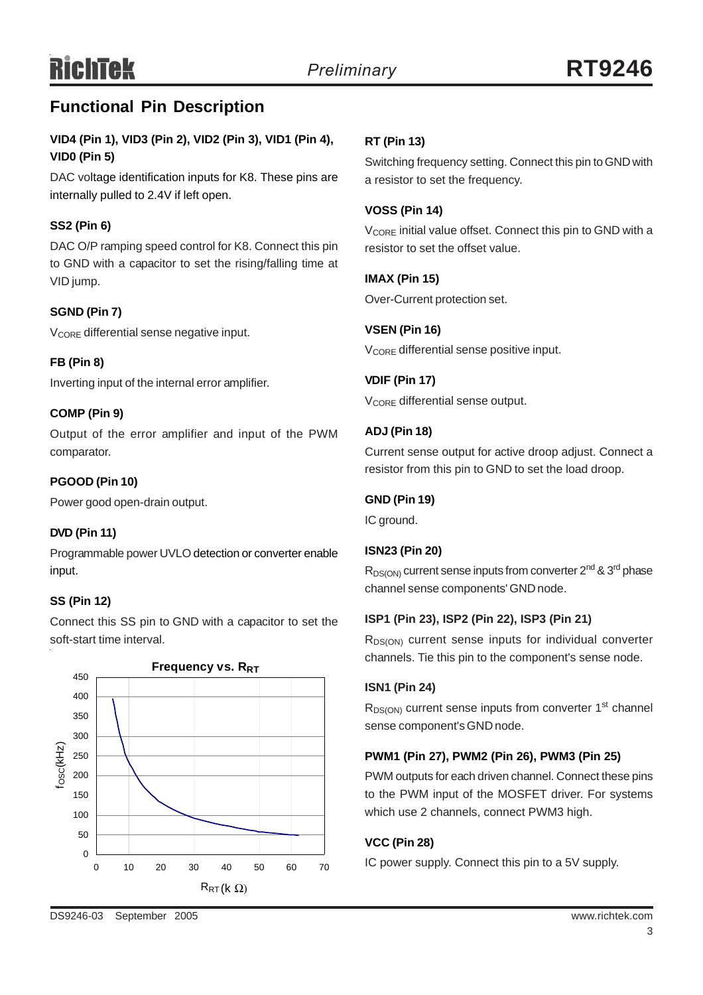## **Functional Pin Description**

### **VID4 (Pin 1), VID3 (Pin 2), VID2 (Pin 3), VID1 (Pin 4), VID0 (Pin 5)**

DAC voltage identification inputs for K8. These pins are internally pulled to 2.4V if left open.

### **SS2 (Pin 6)**

DAC O/P ramping speed control for K8. Connect this pin to GND with a capacitor to set the rising/falling time at VID jump.

### **SGND (Pin 7)**

V<sub>CORE</sub> differential sense negative input.

### **FB (Pin 8)**

Inverting input of the internal error amplifier.

### **COMP (Pin 9)**

Output of the error amplifier and input of the PWM comparator.

### **PGOOD (Pin 10)**

Power good open-drain output.

### **DVD (Pin 11)**

Programmable power UVLO detection or converter enable input.

### **SS (Pin 12)**

Connect this SS pin to GND with a capacitor to set the soft-start time interval.



### **RT (Pin 13)**

Switching frequency setting. Connect this pin to GND with a resistor to set the frequency.

### **VOSS (Pin 14)**

V<sub>CORE</sub> initial value offset. Connect this pin to GND with a resistor to set the offset value.

### **IMAX (Pin 15)**

Over-Current protection set.

**VSEN (Pin 16)** V<sub>CORE</sub> differential sense positive input.

**VDIF (Pin 17)** V<sub>CORE</sub> differential sense output.

### **ADJ (Pin 18)**

Current sense output for active droop adjust. Connect a resistor from this pin to GND to set the load droop.

### **GND (Pin 19)**

IC ground.

### **ISN23 (Pin 20)**

 $R_{DS(ON)}$  current sense inputs from converter  $2^{nd}$  &  $3^{rd}$  phase channel sense components' GND node.

### **ISP1 (Pin 23), ISP2 (Pin 22), ISP3 (Pin 21)**

R<sub>DS(ON)</sub> current sense inputs for individual converter channels. Tie this pin to the component's sense node.

### **ISN1 (Pin 24)**

 $R_{DS(ON)}$  current sense inputs from converter 1<sup>st</sup> channel sense component's GND node.

### **PWM1 (Pin 27), PWM2 (Pin 26), PWM3 (Pin 25)**

PWM outputs for each driven channel. Connect these pins to the PWM input of the MOSFET driver. For systems which use 2 channels, connect PWM3 high.

### **VCC (Pin 28)**

IC power supply. Connect this pin to a 5V supply.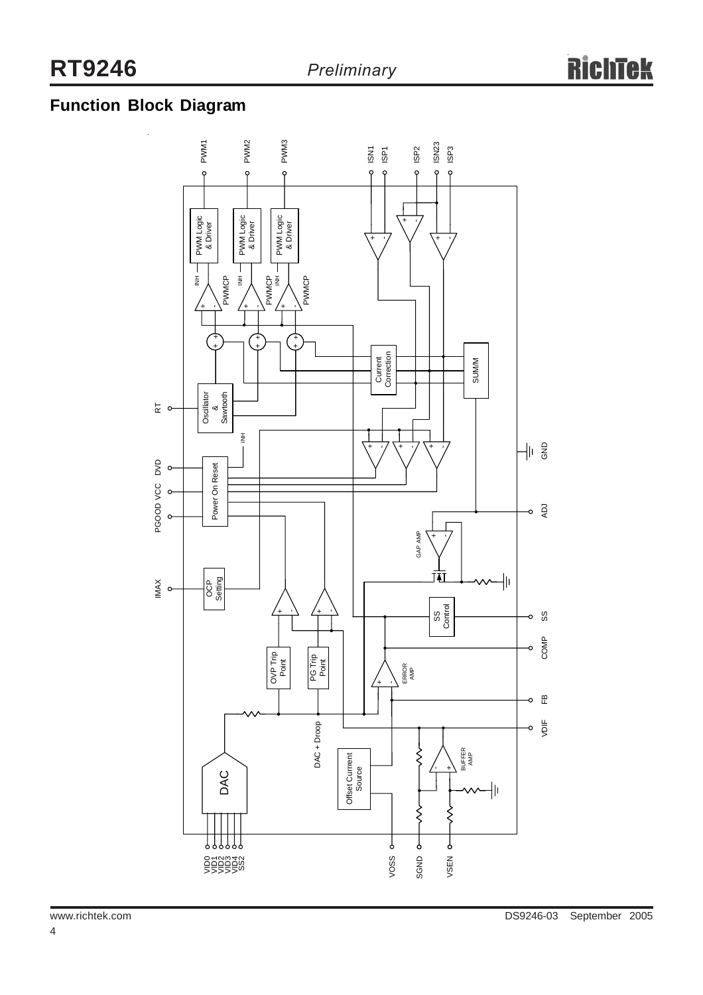## **Function Block Diagram**

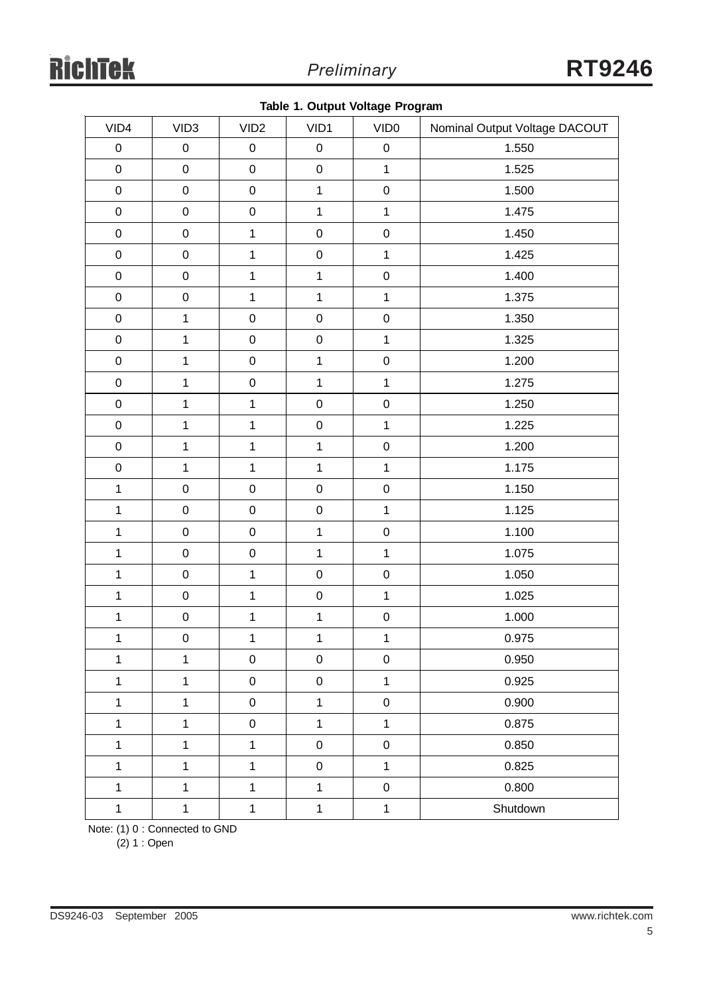|  |  |  |  | Table 1. Output Voltage Program |
|--|--|--|--|---------------------------------|
|--|--|--|--|---------------------------------|

| VID4         | VID <sub>3</sub>    | VID <sub>2</sub> | VID1         | VID <sub>0</sub> | Nominal Output Voltage DACOUT |
|--------------|---------------------|------------------|--------------|------------------|-------------------------------|
| $\mathbf 0$  | $\mathsf 0$         | $\pmb{0}$        | $\pmb{0}$    | $\pmb{0}$        | 1.550                         |
| $\mathbf 0$  | $\mathsf{O}\xspace$ | $\pmb{0}$        | $\mathsf 0$  | $\mathbf 1$      | 1.525                         |
| $\mathbf 0$  | $\mathbf 0$         | $\mathbf 0$      | $\mathbf{1}$ | $\mathbf 0$      | 1.500                         |
| $\pmb{0}$    | $\mathsf{O}\xspace$ | $\mathbf 0$      | $\mathbf{1}$ | $\mathbf{1}$     | 1.475                         |
| $\mathbf 0$  | $\mathbf 0$         | $\mathbf 1$      | $\pmb{0}$    | $\mathbf 0$      | 1.450                         |
| $\pmb{0}$    | $\mathsf{O}\xspace$ | $\mathbf 1$      | $\mathsf 0$  | $\mathbf{1}$     | 1.425                         |
| $\mathbf 0$  | $\mathbf 0$         | $\mathbf 1$      | $\mathbf{1}$ | $\mathbf 0$      | 1.400                         |
| $\pmb{0}$    | $\mathsf{O}\xspace$ | $\mathbf 1$      | $\mathbf{1}$ | $\mathbf{1}$     | 1.375                         |
| $\mathbf 0$  | $\mathbf{1}$        | $\mathbf 0$      | $\pmb{0}$    | $\mathbf 0$      | 1.350                         |
| $\pmb{0}$    | $\mathbf{1}$        | $\mathbf 0$      | $\pmb{0}$    | $\mathbf{1}$     | 1.325                         |
| $\mathbf 0$  | $\mathbf{1}$        | $\mathbf 0$      | $\mathbf{1}$ | $\pmb{0}$        | 1.200                         |
| $\mathbf 0$  | $\mathbf{1}$        | $\mathbf 0$      | $\mathbf{1}$ | $\mathbf{1}$     | 1.275                         |
| $\mathbf 0$  | $\mathbf{1}$        | $\mathbf 1$      | $\pmb{0}$    | $\pmb{0}$        | 1.250                         |
| $\mathbf 0$  | $\mathbf{1}$        | $\mathbf{1}$     | $\pmb{0}$    | $\mathbf{1}$     | 1.225                         |
| $\pmb{0}$    | $\mathbf 1$         | $\mathbf 1$      | $\mathbf{1}$ | $\pmb{0}$        | 1.200                         |
| $\pmb{0}$    | $\mathbf{1}$        | $\mathbf{1}$     | $\mathbf{1}$ | $\mathbf{1}$     | 1.175                         |
| $\mathbf{1}$ | $\mathsf 0$         | $\pmb{0}$        | $\pmb{0}$    | $\mathbf 0$      | 1.150                         |
| $\mathbf{1}$ | $\boldsymbol{0}$    | $\pmb{0}$        | $\pmb{0}$    | $\mathbf{1}$     | 1.125                         |
| $\mathbf{1}$ | $\pmb{0}$           | $\pmb{0}$        | $\mathbf{1}$ | $\mathbf 0$      | 1.100                         |
| $\mathbf{1}$ | $\boldsymbol{0}$    | $\pmb{0}$        | $\mathbf{1}$ | $\mathbf{1}$     | 1.075                         |
| $\mathbf{1}$ | $\pmb{0}$           | $\mathbf 1$      | $\mathsf 0$  | $\mathbf 0$      | 1.050                         |
| $\mathbf{1}$ | $\boldsymbol{0}$    | $\mathbf{1}$     | $\pmb{0}$    | $\mathbf{1}$     | 1.025                         |
| $\mathbf 1$  | $\mathsf 0$         | 1                | $\mathbf{1}$ | $\mathbf 0$      | 1.000                         |
| $\mathbf{1}$ | $\mathsf{O}\xspace$ | 1                | $\mathbf{1}$ | $\mathbf 1$      | 0.975                         |
| $\mathbf{1}$ | $\mathbf{1}$        | $\pmb{0}$        | $\pmb{0}$    | $\mathbf 0$      | 0.950                         |
| $\mathbf{1}$ | $\mathbf{1}$        | $\pmb{0}$        | $\mathsf 0$  | $\mathbf{1}$     | 0.925                         |
| $\mathbf{1}$ | $\mathbf{1}$        | $\pmb{0}$        | $\mathbf{1}$ | $\mathbf 0$      | 0.900                         |
| $\mathbf{1}$ | $\mathbf{1}$        | $\pmb{0}$        | $\mathbf{1}$ | $\mathbf{1}$     | 0.875                         |
| $\mathbf{1}$ | $\mathbf{1}$        | $\mathbf 1$      | $\mathbf 0$  | $\mathbf 0$      | 0.850                         |
| $\mathbf{1}$ | $\mathbf{1}$        | 1                | $\mathbf 0$  | $\mathbf 1$      | 0.825                         |
| $\mathbf{1}$ | $\mathbf{1}$        | $\mathbf 1$      | $\mathbf{1}$ | $\mathbf 0$      | 0.800                         |
| $\mathbf{1}$ | $\mathbf{1}$        | $\mathbf 1$      | $\mathbf{1}$ | $\mathbf{1}$     | Shutdown                      |

Note: (1) 0 : Connected to GND

(2) 1 : Open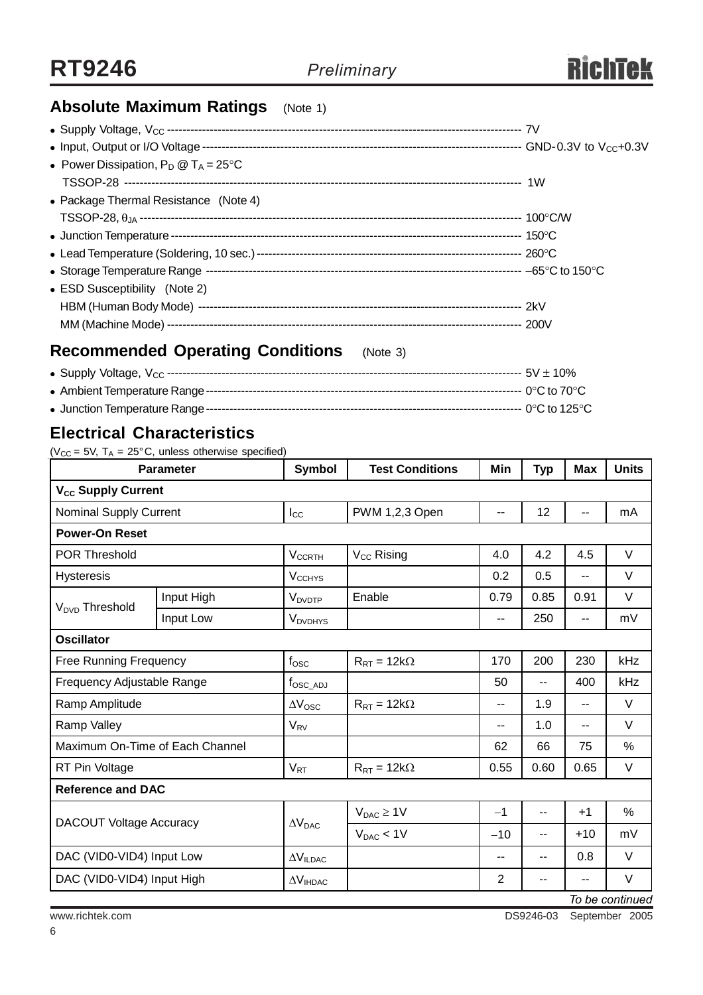

## **Absolute Maximum Ratings** (Note 1)

| • Power Dissipation, $P_D @ T_A = 25^{\circ}C$ |  |
|------------------------------------------------|--|
|                                                |  |
| • Package Thermal Resistance (Note 4)          |  |
|                                                |  |
|                                                |  |
|                                                |  |
|                                                |  |
| • ESD Susceptibility (Note 2)                  |  |
|                                                |  |
|                                                |  |
|                                                |  |

## **Recommended Operating Conditions** (Note 3)

## **Electrical Characteristics**

( $V_{CC}$  = 5V, T<sub>A</sub> = 25°C, unless otherwise specified)

| <b>Parameter</b>                | <b>Symbol</b>              | <b>Test Conditions</b>                                                                                                                                         | Min            | <b>Typ</b> | <b>Max</b> | <b>Units</b>    |  |
|---------------------------------|----------------------------|----------------------------------------------------------------------------------------------------------------------------------------------------------------|----------------|------------|------------|-----------------|--|
| V <sub>cc</sub> Supply Current  |                            |                                                                                                                                                                |                |            |            |                 |  |
| <b>Nominal Supply Current</b>   | $I_{\rm CC}$               | PWM 1,2,3 Open                                                                                                                                                 |                | 12         | --         | mA              |  |
| <b>Power-On Reset</b>           |                            |                                                                                                                                                                |                |            |            |                 |  |
|                                 | <b>V<sub>CCRTH</sub></b>   | V <sub>CC</sub> Rising                                                                                                                                         | 4.0            | 4.2        | 4.5        | $\vee$          |  |
|                                 | <b>V<sub>CCHYS</sub></b>   |                                                                                                                                                                | 0.2            | 0.5        | --         | $\vee$          |  |
| Input High                      | <b>V</b> <sub>DVDTP</sub>  | Enable                                                                                                                                                         | 0.79           | 0.85       | 0.91       | $\vee$          |  |
| Input Low                       | <b>V</b> <sub>DVDHYS</sub> |                                                                                                                                                                | --             | 250        | --         | mV              |  |
|                                 |                            |                                                                                                                                                                |                |            |            |                 |  |
| <b>Free Running Frequency</b>   | $f_{\rm OSC}$              | $R_{RT} = 12k\Omega$                                                                                                                                           | 170            | 200        | 230        | kHz             |  |
| Frequency Adjustable Range      |                            |                                                                                                                                                                | 50             | --         | 400        | kHz             |  |
| Ramp Amplitude                  |                            | $R_{RT} = 12k\Omega$                                                                                                                                           | --             | 1.9        | $-$        | $\vee$          |  |
| Ramp Valley                     |                            |                                                                                                                                                                |                | 1.0        | --         | $\vee$          |  |
| Maximum On-Time of Each Channel |                            |                                                                                                                                                                | 62             | 66         | 75         | $\frac{0}{0}$   |  |
| RT Pin Voltage                  |                            | $R_{RT} = 12k\Omega$                                                                                                                                           | 0.55           | 0.60       | 0.65       | V               |  |
| <b>Reference and DAC</b>        |                            |                                                                                                                                                                |                |            |            |                 |  |
| <b>DACOUT Voltage Accuracy</b>  |                            | $V_{DAC} \geq 1V$                                                                                                                                              | $-1$           | --         | $+1$       | $\%$            |  |
|                                 |                            | $V_{DAC}$ < 1V                                                                                                                                                 | $-10$          | $- -$      | $+10$      | mV              |  |
| DAC (VID0-VID4) Input Low       |                            |                                                                                                                                                                | --             | --         | 0.8        | $\vee$          |  |
| DAC (VID0-VID4) Input High      |                            |                                                                                                                                                                | $\overline{2}$ | --         |            | V               |  |
|                                 |                            | $f_{\rm OSC\_ADJ}$<br>$\Delta V_{\rm{OSC}}$<br><b>V<sub>RV</sub></b><br>$V_{RT}$<br>$\Delta V_{\text{DAC}}$<br>$\Delta V_{ILDAC}$<br>$\Delta V_{\text{IHDAC}}$ |                | $-$        |            | To ho continued |  |

*To be continued*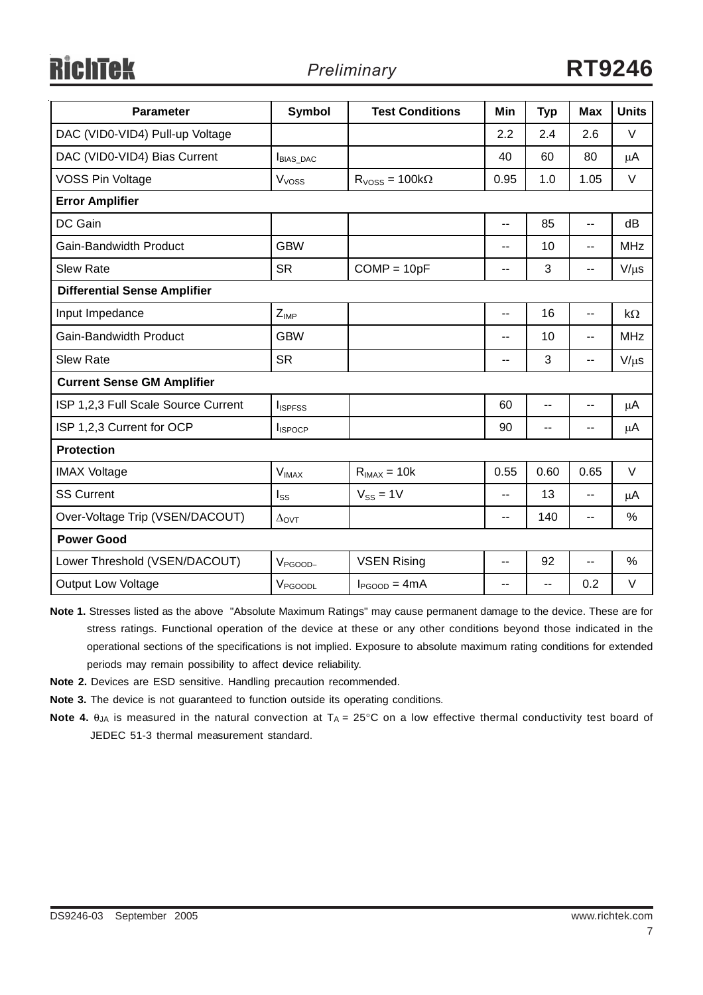ichtek

| <b>Parameter</b>                    | <b>Symbol</b>         | <b>Test Conditions</b>  | Min                      | <b>Typ</b>               | <b>Max</b>               | <b>Units</b>  |  |
|-------------------------------------|-----------------------|-------------------------|--------------------------|--------------------------|--------------------------|---------------|--|
| DAC (VID0-VID4) Pull-up Voltage     |                       |                         | 2.2                      | 2.4                      | 2.6                      | $\vee$        |  |
| DAC (VID0-VID4) Bias Current        | <b>BIAS_DAC</b>       |                         | 40                       | 60                       | 80                       | $\mu$ A       |  |
| <b>VOSS Pin Voltage</b>             | V <sub>voss</sub>     | $R_{VOSS} = 100k\Omega$ | 0.95                     | 1.0                      | 1.05                     | $\vee$        |  |
| <b>Error Amplifier</b>              |                       |                         |                          |                          |                          |               |  |
| DC Gain                             |                       |                         | $\overline{a}$           | 85                       | $\overline{a}$           | dB            |  |
| Gain-Bandwidth Product              | <b>GBW</b>            |                         | --                       | 10                       | $\overline{\phantom{a}}$ | <b>MHz</b>    |  |
| <b>Slew Rate</b>                    | <b>SR</b>             | $COMP = 10pF$           | $\overline{\phantom{a}}$ | 3                        | $- -$                    | $V/\mu s$     |  |
| <b>Differential Sense Amplifier</b> |                       |                         |                          |                          |                          |               |  |
| Input Impedance                     | $Z_{IMP}$             |                         | --                       | 16                       | $-$                      | $k\Omega$     |  |
| Gain-Bandwidth Product              | <b>GBW</b>            |                         | $\overline{\phantom{m}}$ | 10                       | $\overline{\phantom{a}}$ | <b>MHz</b>    |  |
| <b>Slew Rate</b>                    | <b>SR</b>             |                         | --                       | 3                        | --                       | $V/\mu s$     |  |
| <b>Current Sense GM Amplifier</b>   |                       |                         |                          |                          |                          |               |  |
| ISP 1,2,3 Full Scale Source Current | <b>I</b> ISPFSS       |                         | 60                       | $-$                      | $-$                      | $\mu$ A       |  |
| ISP 1,2,3 Current for OCP           | <b>I</b> ISPOCP       |                         | 90                       | $\overline{\phantom{a}}$ |                          | $\mu$ A       |  |
| <b>Protection</b>                   |                       |                         |                          |                          |                          |               |  |
| <b>IMAX Voltage</b>                 | $V_{IMAX}$            | $R_{IMAX} = 10k$        | 0.55                     | 0.60                     | 0.65                     | $\vee$        |  |
| <b>SS Current</b>                   | $I_{SS}$              | $V_{SS} = 1V$           | --                       | 13                       | $\sim$ $\sim$            | $\mu$ A       |  |
| Over-Voltage Trip (VSEN/DACOUT)     | $\Delta_{\text{OVT}}$ |                         | --                       | 140                      | $\overline{a}$           | $\%$          |  |
| <b>Power Good</b>                   |                       |                         |                          |                          |                          |               |  |
| Lower Threshold (VSEN/DACOUT)       | $V_{PGOOD-}$          | <b>VSEN Rising</b>      | $\overline{\phantom{a}}$ | 92                       | $-$                      | $\frac{0}{0}$ |  |
| <b>Output Low Voltage</b>           | $V_{\text{PGOODL}}$   | $I_{PGOOD} = 4mA$       | $\overline{\phantom{a}}$ | $-$                      | 0.2                      | V             |  |

**Note 1.** Stresses listed as the above "Absolute Maximum Ratings" may cause permanent damage to the device. These are for stress ratings. Functional operation of the device at these or any other conditions beyond those indicated in the operational sections of the specifications is not implied. Exposure to absolute maximum rating conditions for extended periods may remain possibility to affect device reliability.

- **Note 2.** Devices are ESD sensitive. Handling precaution recommended.
- **Note 3.** The device is not guaranteed to function outside its operating conditions.
- **Note 4.**  $\theta_{JA}$  is measured in the natural convection at  $T_A = 25^\circ \text{C}$  on a low effective thermal conductivity test board of JEDEC 51-3 thermal measurement standard.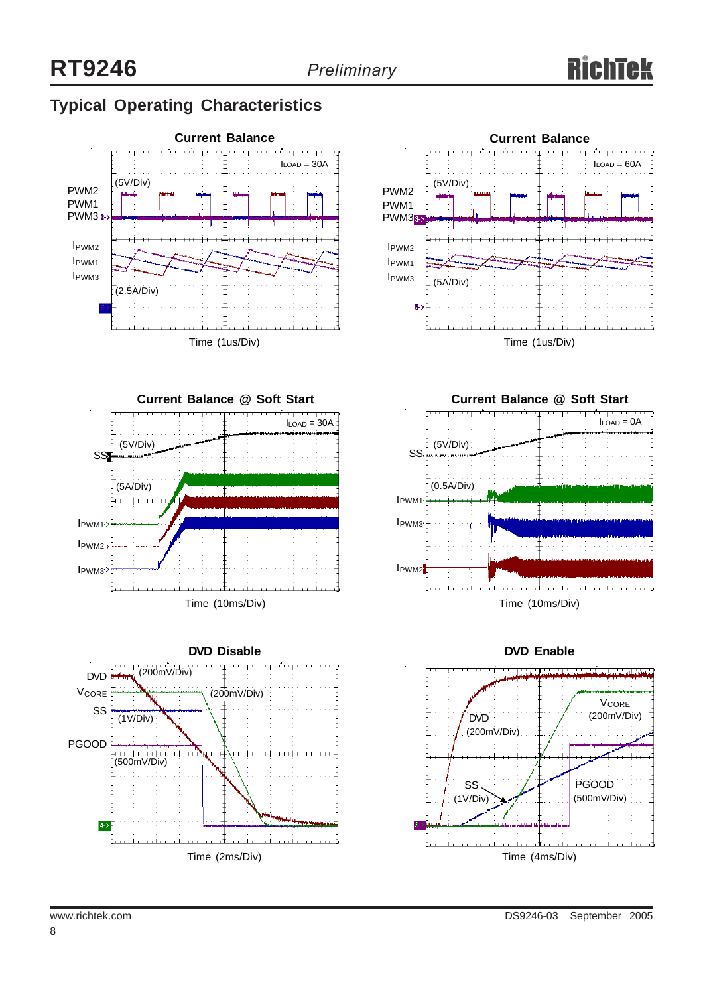## **Typical Operating Characteristics**











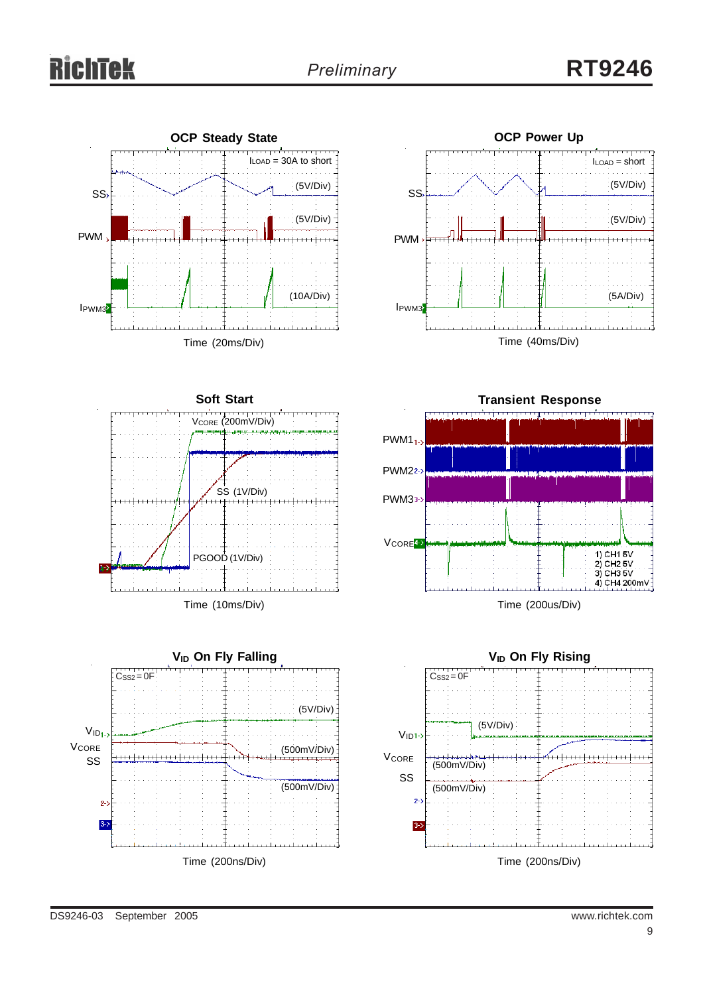# chtek

## *Preliminary* **RT9246**







Time (10ms/Div)





Time (200us/Div)

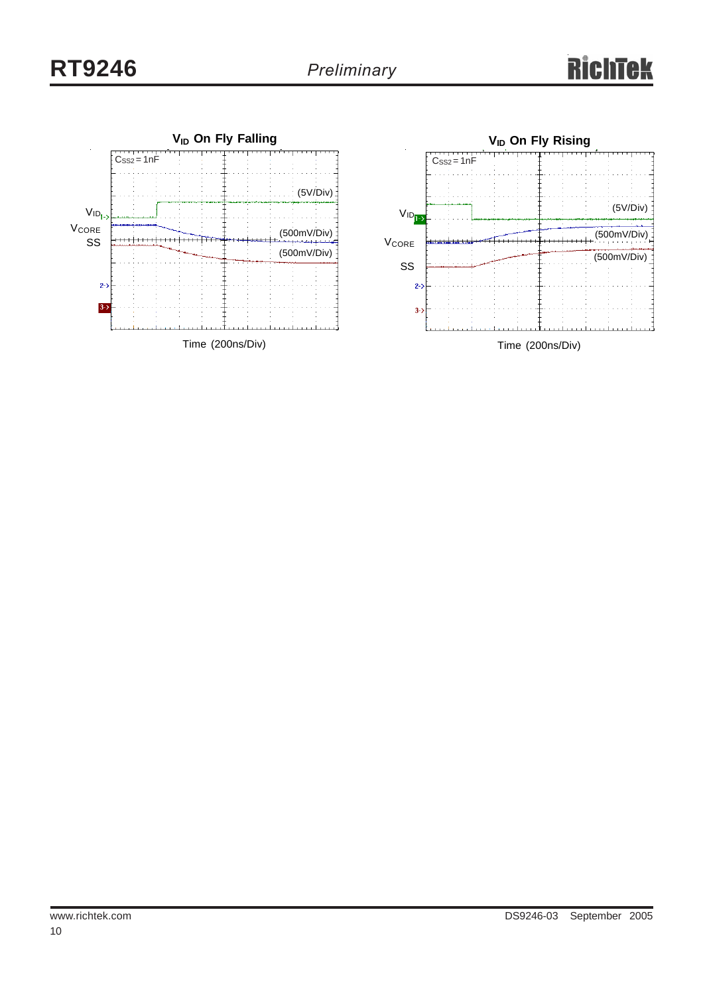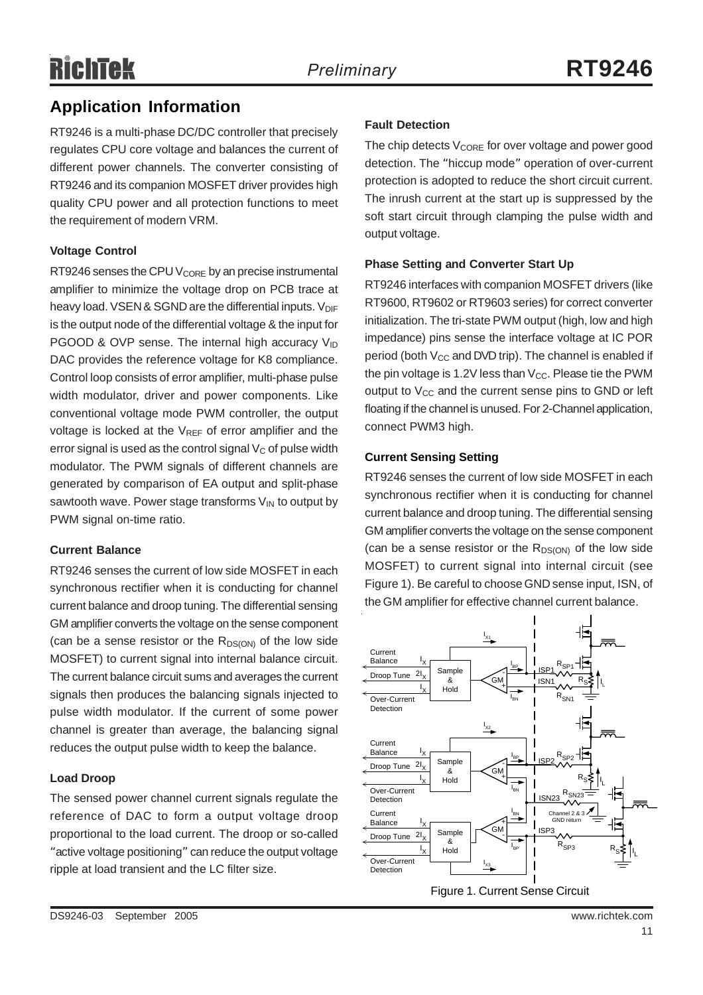## **Application Information**

RT9246 is a multi-phase DC/DC controller that precisely regulates CPU core voltage and balances the current of different power channels. The converter consisting of RT9246 and its companion MOSFET driver provides high quality CPU power and all protection functions to meet the requirement of modern VRM.

### **Voltage Control**

RT9246 senses the CPU V<sub>CORE</sub> by an precise instrumental amplifier to minimize the voltage drop on PCB trace at heavy load. VSEN & SGND are the differential inputs.  $V_{\text{DIF}}$ is the output node of the differential voltage & the input for PGOOD & OVP sense. The internal high accuracy  $V_{\text{ID}}$ DAC provides the reference voltage for K8 compliance. Control loop consists of error amplifier, multi-phase pulse width modulator, driver and power components. Like conventional voltage mode PWM controller, the output voltage is locked at the  $V_{REF}$  of error amplifier and the error signal is used as the control signal  $V_C$  of pulse width modulator. The PWM signals of different channels are generated by comparison of EA output and split-phase sawtooth wave. Power stage transforms  $V_{IN}$  to output by PWM signal on-time ratio.

### **Current Balance**

RT9246 senses the current of low side MOSFET in each synchronous rectifier when it is conducting for channel current balance and droop tuning. The differential sensing GM amplifier converts the voltage on the sense component (can be a sense resistor or the  $R_{DS(ON)}$  of the low side MOSFET) to current signal into internal balance circuit. The current balance circuit sums and averages the current signals then produces the balancing signals injected to pulse width modulator. If the current of some power channel is greater than average, the balancing signal reduces the output pulse width to keep the balance.

### **Load Droop**

The sensed power channel current signals regulate the reference of DAC to form a output voltage droop proportional to the load current. The droop or so-called "active voltage positioning" can reduce the output voltage ripple at load transient and the LC filter size.

### **Fault Detection**

The chip detects  $V_{\text{CORE}}$  for over voltage and power good detection. The "hiccup mode" operation of over-current protection is adopted to reduce the short circuit current. The inrush current at the start up is suppressed by the soft start circuit through clamping the pulse width and output voltage.

### **Phase Setting and Converter Start Up**

RT9246 interfaces with companion MOSFET drivers (like RT9600, RT9602 or RT9603 series) for correct converter initialization. The tri-state PWM output (high, low and high impedance) pins sense the interface voltage at IC POR period (both  $V_{CC}$  and DVD trip). The channel is enabled if the pin voltage is 1.2V less than  $V_{CC}$ . Please tie the PWM output to  $V_{CC}$  and the current sense pins to GND or left floating if the channel is unused. For 2-Channel application, connect PWM3 high.

### **Current Sensing Setting**

RT9246 senses the current of low side MOSFET in each synchronous rectifier when it is conducting for channel current balance and droop tuning. The differential sensing GM amplifier converts the voltage on the sense component (can be a sense resistor or the  $R_{DS(ON)}$  of the low side MOSFET) to current signal into internal circuit (see Figure 1). Be careful to choose GND sense input, ISN, of the GM amplifier for effective channel current balance.

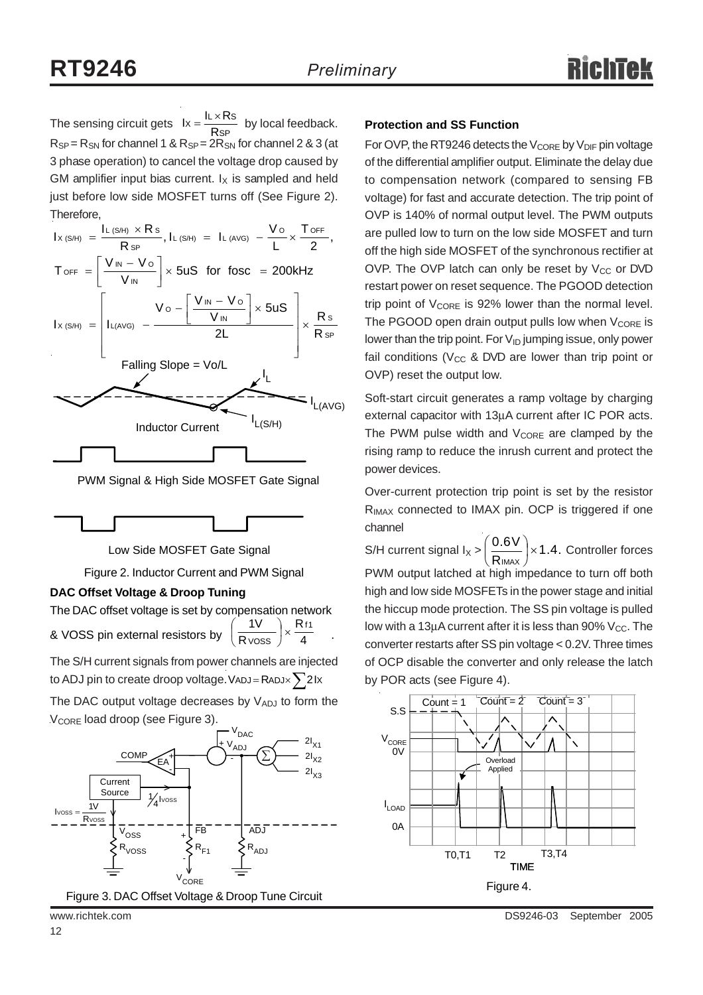The sensing circuit gets  $\mathsf{I} \times \frac{\mathsf{I} \times \mathsf{I} \times \mathsf{I}}{\mathsf{Rsp}}$  by local feedback. **Protection and SS Function**  $R_{SP}$  =  $R_{SN}$  for channel 1 &  $R_{SP}$  =  $2R_{SN}$  for channel 2 & 3 (at 3 phase operation) to cancel the voltage drop caused by GM amplifier input bias current.  $I_X$  is sampled and held just before low side MOSFET turns off (See Figure 2). Therefore,  $lx = \frac{IL \times Rs}{RsP}$ 

| $I_{X \; (\text{S/H})} \; = \; \frac{I_{L \; (\text{S/H})} \; \times \; R \; \text{s}}{R \; \text{sp}}, \, I_{L \; (\text{S/H})} \; = \; I_{L \; (\text{AVG})} \; - \frac{\text{V} \; \text{o}}{I} \times \frac{T \; \text{OFF}}{2},$ |
|---------------------------------------------------------------------------------------------------------------------------------------------------------------------------------------------------------------------------------------|
| $T_{\text{OFF}} = \left[\frac{V_{\text{IN}} - V_{\text{O}}}{V_{\text{IN}}} \right] \times 5uS$ for fosc = 200kHz                                                                                                                      |
| $I_{X(S/H)}$ = $\left[ I_{L(AVG)} - \frac{V \circ - \left[ \frac{V_{IN} - V \circ}{V_{IN}} \right] \times 5US}{2L} \right] \times \frac{Rs}{RsP}$                                                                                     |
| Falling Slope = Vo/L                                                                                                                                                                                                                  |
|                                                                                                                                                                                                                                       |
| L(S/H)<br><b>Inductor Current</b>                                                                                                                                                                                                     |
|                                                                                                                                                                                                                                       |

PWM Signal & High Side MOSFET Gate Signal



Low Side MOSFET Gate Signal

Figure 2. Inductor Current and PWM Signal

### **DAC Offset Voltage & Droop Tuning**

The DAC offset voltage is set by compensation network & VOSS pin external resistors by  $\left(\frac{R}{\text{V} \cdot \text{V} \cdot \text{V}}\right)^{\times}$   $\frac{1}{4}$  . R R  $1V$  Rf1  $\frac{iv}{\text{V} \text{OSS}}$   $\times$ ⎠  $\left(\frac{1}{2}\right)$ ⎝  $\big($ 

The S/H current signals from power channels are injected to ADJ pin to create droop voltage. VADJ = RADJ $\times$   $\sum$  2Ix

The DAC output voltage decreases by  $V_{ADJ}$  to form the V<sub>CORE</sub> load droop (see Figure 3).



For OVP, the RT9246 detects the  $V_{\text{CORE}}$  by  $V_{\text{DIF}}$  pin voltage of the differential amplifier output. Eliminate the delay due to compensation network (compared to sensing FB voltage) for fast and accurate detection. The trip point of OVP is 140% of normal output level. The PWM outputs are pulled low to turn on the low side MOSFET and turn off the high side MOSFET of the synchronous rectifier at OVP. The OVP latch can only be reset by  $V_{CC}$  or DVD restart power on reset sequence. The PGOOD detection trip point of  $V_{\text{CORE}}$  is 92% lower than the normal level. The PGOOD open drain output pulls low when  $V_{\text{CORE}}$  is lower than the trip point. For  $V_{ID}$  jumping issue, only power fail conditions ( $V_{CC}$  & DVD are lower than trip point or OVP) reset the output low.

Soft-start circuit generates a ramp voltage by charging external capacitor with 13μA current after IC POR acts. The PWM pulse width and  $V_{\text{CORF}}$  are clamped by the rising ramp to reduce the inrush current and protect the power devices.

Over-current protection trip point is set by the resistor R<sub>IMAX</sub> connected to IMAX pin. OCP is triggered if one channel

S/H current signal  $I_X > \left(\frac{0.6 \text{V}}{\text{R}_{IMAX}}\right) \times 1.4$ . Controller forces PWM output latched at high impedance to turn off both high and low side MOSFETs in the power stage and initial the hiccup mode protection. The SS pin voltage is pulled low with a 13 $\mu$ A current after it is less than 90% V<sub>CC</sub>. The converter restarts after SS pin voltage < 0.2V. Three times of OCP disable the converter and only release the latch by POR acts (see Figure 4).  $\frac{10 \text{ V}}{1 \text{ max}}$   $\times$ ⎠  $\left(\frac{0.6V}{2}\right)$ ⎝  $\big($ 

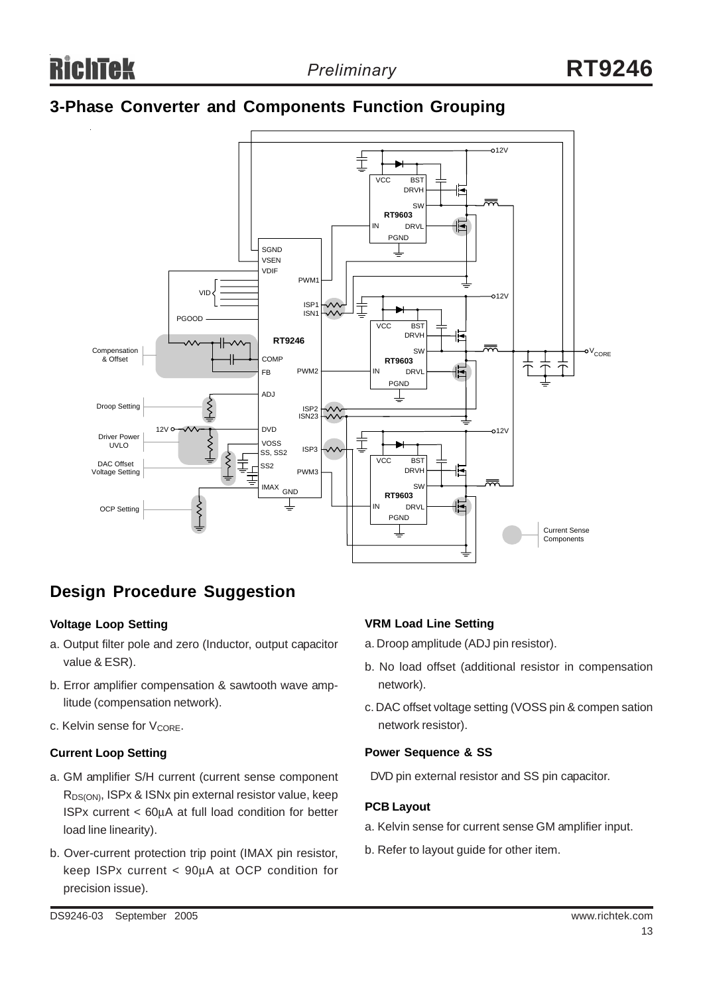## **3-Phase Converter and Components Function Grouping**



## **Design Procedure Suggestion**

### **Voltage Loop Setting**

- a. Output filter pole and zero (Inductor, output capacitor value & ESR).
- b. Error amplifier compensation & sawtooth wave amplitude (compensation network).
- c. Kelvin sense for V<sub>CORE</sub>.

### **Current Loop Setting**

- a. GM amplifier S/H current (current sense component R<sub>DS(ON)</sub>, ISPx & ISNx pin external resistor value, keep ISPx current < 60μA at full load condition for better load line linearity).
- b. Over-current protection trip point (IMAX pin resistor, keep ISPx current < 90μA at OCP condition for precision issue).

### **VRM Load Line Setting**

- a. Droop amplitude (ADJ pin resistor).
- b. No load offset (additional resistor in compensation network).
- c. DAC offset voltage setting (VOSS pin & compen sation network resistor).

### **Power Sequence & SS**

DVD pin external resistor and SS pin capacitor.

### **PCB Layout**

- a. Kelvin sense for current sense GM amplifier input.
- b. Refer to layout guide for other item.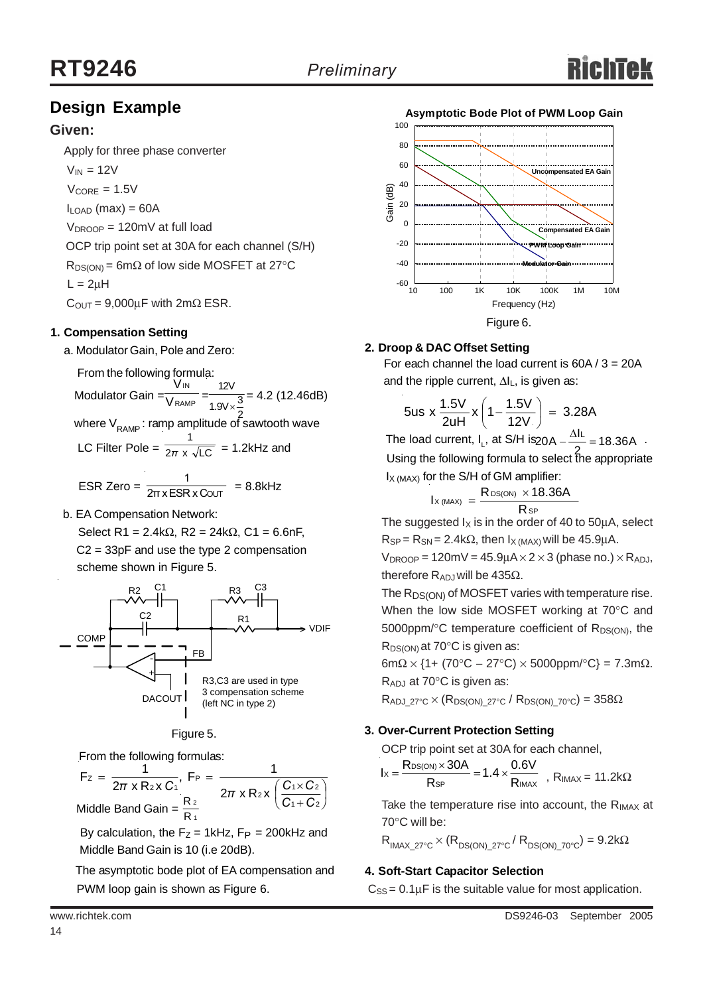## **Design Example**

### **Given:**

Apply for three phase converter

 $V_{IN} = 12V$ 

 $V_{\text{CORF}} = 1.5V$ 

 $I_{\text{LOAD}}$  (max) = 60A

 $V_{DROOP} = 120$ mV at full load

 OCP trip point set at 30A for each channel (S/H)  $R_{DS(ON)} = 6m\Omega$  of low side MOSFET at 27°C  $L = 2\mu H$ 

 $C_{\text{OUT}} = 9,000 \mu F$  with  $2m\Omega$  ESR.

### **1. Compensation Setting**

a. Modulator Gain, Pole and Zero:

From the following formula: IN V 12V

Modulator Gain  $=\frac{1}{\sqrt{RAMP}} = \frac{1}{1.91/\sqrt{3}} = 4.2$  (12.46dB) V 1.9V $\times \frac{3}{5}$ 2

where V<sub>RAMP</sub> : ramp amplitude of sawtooth wave<br>1

LC Filter Pole = 
$$
\frac{1}{2\pi x \sqrt{LC}}
$$
 = 1.2kHz and

ESR Zero =  $\frac{1}{2\pi x ESRxC$ OUT = 8.8kHz 1 2π x ESR x C

b. EA Compensation Network:

Select R1 = 2.4kΩ, R2 = 24kΩ, C1 = 6.6nF, C2 = 33pF and use the type 2 compensation scheme shown in Figure 5.





From the following formulas:

 $\overline{\phantom{a}}$ ⎠  $\left(\frac{C_1 \times C_2}{2}\right)$ ⎝  $\big($ +  $=\frac{1}{2\pi \times R_2 \times C_1}$ , F<sub>P</sub> =  $\frac{1}{2\pi \times R_1 \times C_1}$ 1 + C 2  $2x \left( \frac{C_1 \times C_2}{2} \right)$ P  $F_z = \frac{1}{2\pi x R_2 x C_1}, F_P = \frac{1}{2\pi x R_2 x}$ Z *C C*  $\pi$  x R<sub>2</sub> x C<sub>1</sub><sup> $\pi$ </sup> 2π x R<sub>2</sub> x  $\left(\frac{C_1 \times C_2}{C_1} \right)$ Middle Band Gain =  $\frac{R_2}{R_1}$ 2

> By calculation, the  $F_Z = 1$ kHz,  $F_P = 200$ kHz and Middle Band Gain is 10 (i.e 20dB).

 The asymptotic bode plot of EA compensation and PWM loop gain is shown as Figure 6.



### **2. Droop & DAC Offset Setting**

For each channel the load current is  $60A / 3 = 20A$ and the ripple current,  $\Delta I_L$ , is given as:

$$
5us \times \frac{1.5V}{2uH} \times \left(1 - \frac{1.5V}{12V}\right) = 3.28A
$$

The load current, I<sub>L</sub>, at S/H is  $20A - \frac{\Delta l}{2} = 18.36A$ . Using the following formula to select the appropriate  $I_X$ <sub>(MAX)</sub> for the S/H of GM amplifier:

$$
I_{X\, (MAX)}\ =\ \frac{R_{DS(ON)}\ \times 18.36A}{R_{SP}}
$$

The suggested  $I_X$  is in the order of 40 to 50 $\mu$ A, select  $R_{SP} = R_{SN} = 2.4 k\Omega$ , then  $I_X$  (MAX) will be 45.9uA.

 $V_{DROOP}$  = 120mV = 45.9µA $\times$ 2 $\times$ 3 (phase no.) $\times$ R<sub>ADJ</sub>, therefore  $R_{ADJ}$  will be 435Ω.

The R<sub>DS(ON)</sub> of MOSFET varies with temperature rise. When the low side MOSFET working at 70°C and 5000ppm/ $\degree$ C temperature coefficient of R<sub>DS(ON)</sub>, the R<sub>DS(ON)</sub> at 70°C is given as:

6mΩ × {1+ (70°C – 27°C) × 5000ppm/°C} = 7.3mΩ.  $R_{AD,I}$  at 70 $^{\circ}$ C is given as:

 $R_{\text{ADJ}_27\text{°C}} \times (R_{\text{DS(ON)}_27\text{°C}} / R_{\text{DS(ON)}_27\text{°C}}) = 358\Omega$ 

### **3. Over-Current Protection Setting**

OCP trip point set at 30A for each channel,

$$
I_{X} = \frac{R_{DS(ON)} \times 30A}{R_{SP}} = 1.4 \times \frac{0.6V}{R_{IMAX}} , R_{IMAX} = 11.2k\Omega
$$

Take the temperature rise into account, the  $R_{IMAX}$  at 70°C will be:

 $R_{IMAX\ 27°C} \times (R_{DS(ON)\ 27°C}/ R_{DS(ON)\ 70°C}) = 9.2k\Omega$ 

### **4. Soft-Start Capacitor Selection**

 $C_{SS} = 0.1 \mu F$  is the suitable value for most application.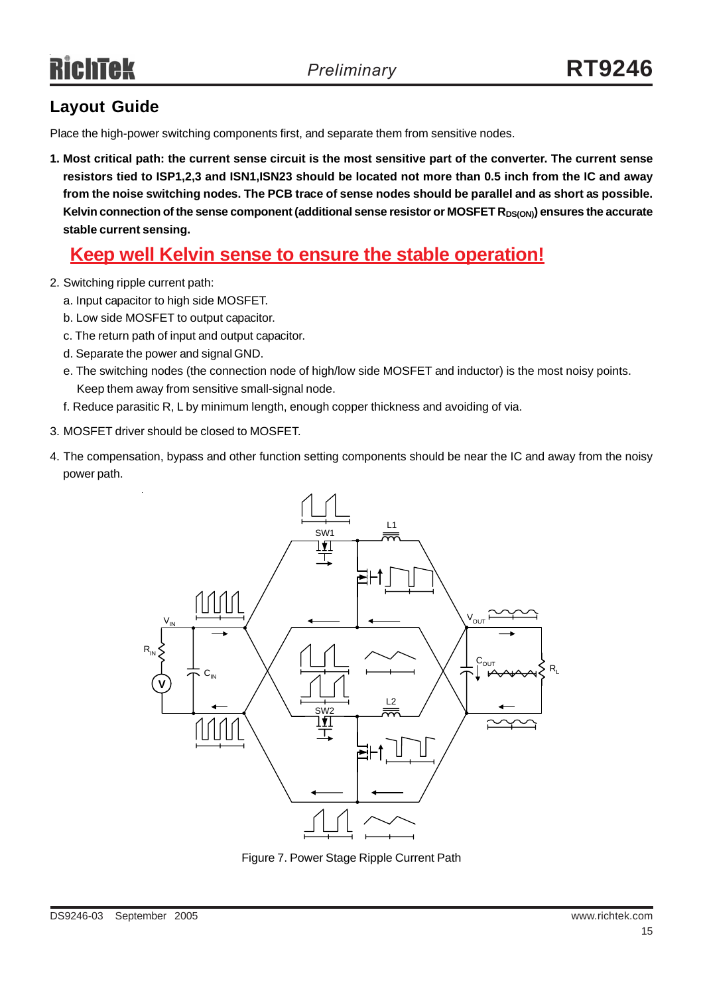## **Layout Guide**

Place the high-power switching components first, and separate them from sensitive nodes.

**1. Most critical path: the current sense circuit is the most sensitive part of the converter. The current sense resistors tied to ISP1,2,3 and ISN1,ISN23 should be located not more than 0.5 inch from the IC and away from the noise switching nodes. The PCB trace of sense nodes should be parallel and as short as possible.** Kelvin connection of the sense component (additional sense resistor or MOSFET R<sub>DS(ON)</sub>) ensures the accurate **stable current sensing.**

## **Keep well Kelvin sense to ensure the stable operation!**

- 2. Switching ripple current path:
	- a. Input capacitor to high side MOSFET.
	- b. Low side MOSFET to output capacitor.
	- c. The return path of input and output capacitor.
	- d. Separate the power and signal GND.
	- e. The switching nodes (the connection node of high/low side MOSFET and inductor) is the most noisy points. Keep them away from sensitive small-signal node.
	- f. Reduce parasitic R, L by minimum length, enough copper thickness and avoiding of via.
- 3. MOSFET driver should be closed to MOSFET.
- 4. The compensation, bypass and other function setting components should be near the IC and away from the noisy power path.



Figure 7. Power Stage Ripple Current Path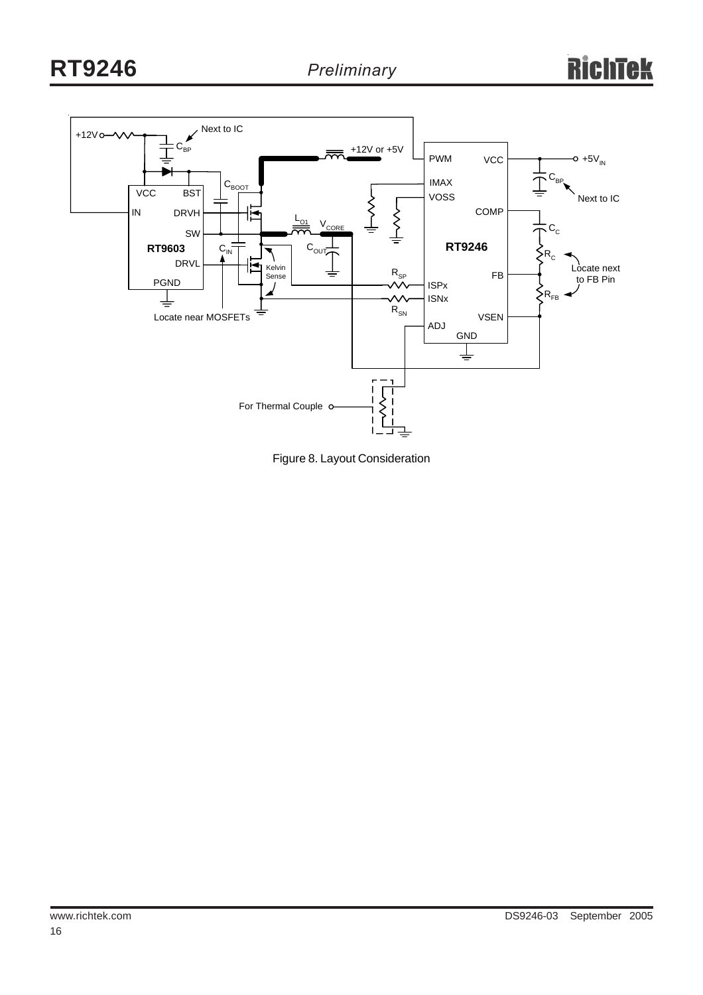